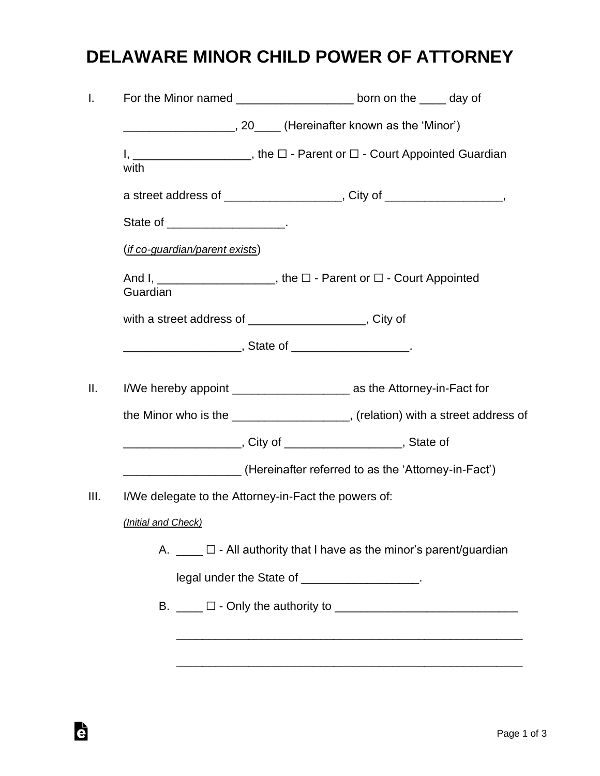## **DELAWARE MINOR CHILD POWER OF ATTORNEY**

|                                                      | For the Minor named _______________________ born on the _____ day of                       |
|------------------------------------------------------|--------------------------------------------------------------------------------------------|
|                                                      | _____________________, 20_____ (Hereinafter known as the 'Minor')                          |
| with                                                 | I, _______________________, the $\square$ - Parent or $\square$ - Court Appointed Guardian |
|                                                      | a street address of ____________________, City of __________________,                      |
| State of ____________________.                       |                                                                                            |
| (if co-guardian/parent exists)                       |                                                                                            |
| Guardian                                             | And I, _______________________, the $\square$ - Parent or $\square$ - Court Appointed      |
|                                                      | with a street address of ____________________, City of                                     |
|                                                      |                                                                                            |
|                                                      |                                                                                            |
|                                                      | I/We hereby appoint ________________________ as the Attorney-in-Fact for                   |
|                                                      | the Minor who is the ____________________, (relation) with a street address of             |
|                                                      | ___________________________, City of _______________________________, State of             |
|                                                      | __________________(Hereinafter referred to as the 'Attorney-in-Fact')                      |
| I/We delegate to the Attorney-in-Fact the powers of: |                                                                                            |
| (Initial and Check)                                  |                                                                                            |
|                                                      | A. $\Box$ $\Box$ - All authority that I have as the minor's parent/guardian                |
|                                                      | legal under the State of ___________________.                                              |
|                                                      |                                                                                            |
|                                                      |                                                                                            |
|                                                      |                                                                                            |
|                                                      |                                                                                            |

è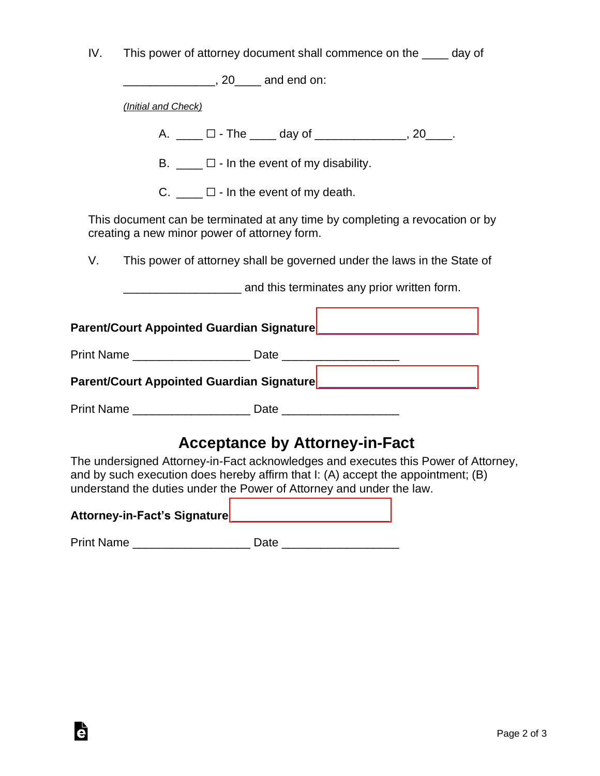| IV.                                               | This power of attorney document shall commence on the ____ day of                                                                                                                                                                              |  |  |  |  |
|---------------------------------------------------|------------------------------------------------------------------------------------------------------------------------------------------------------------------------------------------------------------------------------------------------|--|--|--|--|
|                                                   | _________________, 20_____ and end on:                                                                                                                                                                                                         |  |  |  |  |
|                                                   | (Initial and Check)                                                                                                                                                                                                                            |  |  |  |  |
|                                                   | A. ____ □ - The ____ day of ______________, 20____.                                                                                                                                                                                            |  |  |  |  |
| B. $\Box$ $\Box$ - In the event of my disability. |                                                                                                                                                                                                                                                |  |  |  |  |
| C. $\Box$ $\Box$ - In the event of my death.      |                                                                                                                                                                                                                                                |  |  |  |  |
|                                                   | This document can be terminated at any time by completing a revocation or by<br>creating a new minor power of attorney form.                                                                                                                   |  |  |  |  |
| V.                                                | This power of attorney shall be governed under the laws in the State of                                                                                                                                                                        |  |  |  |  |
|                                                   | and this terminates any prior written form.                                                                                                                                                                                                    |  |  |  |  |
|                                                   |                                                                                                                                                                                                                                                |  |  |  |  |
|                                                   | Print Name _____________________________ Date __________________________________                                                                                                                                                               |  |  |  |  |
|                                                   |                                                                                                                                                                                                                                                |  |  |  |  |
|                                                   | Print Name ____________________________ Date ___________________________________                                                                                                                                                               |  |  |  |  |
|                                                   | <b>Acceptance by Attorney-in-Fact</b>                                                                                                                                                                                                          |  |  |  |  |
|                                                   | The undersigned Attorney-in-Fact acknowledges and executes this Power of Attorney,<br>and by such execution does hereby affirm that I: (A) accept the appointment; (B)<br>understand the duties under the Power of Attorney and under the law. |  |  |  |  |

## **Attorney-in-Fact's Signature** [\\_\\_\\_\\_\\_\\_\\_\\_\\_\\_\\_\\_\\_\\_\\_\\_\\_\\_\\_\\_\\_\\_\\_\\_](https://esign.com/)

è

Print Name \_\_\_\_\_\_\_\_\_\_\_\_\_\_\_\_\_\_ Date \_\_\_\_\_\_\_\_\_\_\_\_\_\_\_\_\_\_